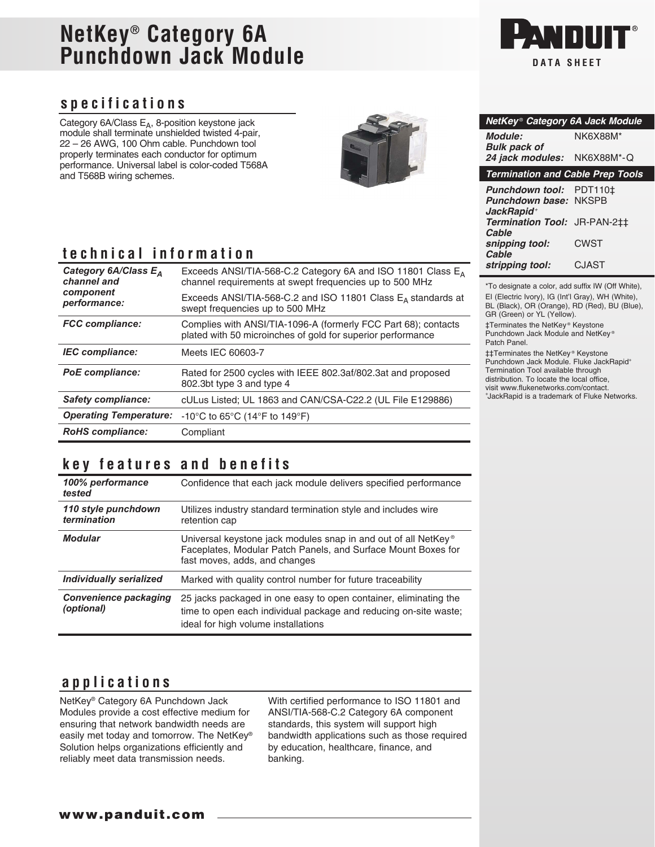# **NetKey® Category 6A Punchdown Jack Module**

### **specifications**

Category  $6A/C$ lass  $E_A$ , 8-position keystone jack module shall terminate unshielded twisted 4-pair, 22 – 26 AWG, 100 Ohm cable. Punchdown tool properly terminates each conductor for optimum performance. Universal label is color-coded T568A and T568B wiring schemes.



## **technical information**

| Category 6A/Class E <sub>A</sub><br>channel and | Exceeds ANSI/TIA-568-C.2 Category 6A and ISO 11801 Class $E_A$<br>channel requirements at swept frequencies up to 500 MHz     |
|-------------------------------------------------|-------------------------------------------------------------------------------------------------------------------------------|
| component<br>performance:                       | Exceeds ANSI/TIA-568-C.2 and ISO 11801 Class $E_A$ standards at<br>swept frequencies up to 500 MHz                            |
| <b>FCC</b> compliance:                          | Complies with ANSI/TIA-1096-A (formerly FCC Part 68); contacts<br>plated with 50 microinches of gold for superior performance |
| <b>IEC</b> compliance:                          | Meets IEC 60603-7                                                                                                             |
| <b>PoE</b> compliance:                          | Rated for 2500 cycles with IEEE 802.3af/802.3at and proposed<br>802.3bt type 3 and type 4                                     |
| <b>Safety compliance:</b>                       | cULus Listed; UL 1863 and CAN/CSA-C22.2 (UL File E129886)                                                                     |
| <b>Operating Temperature:</b>                   | $-10^{\circ}$ C to 65 $^{\circ}$ C (14 $^{\circ}$ F to 149 $^{\circ}$ F)                                                      |
| <b>RoHS</b> compliance:                         | Compliant                                                                                                                     |

### **key features and benefits**

| 100% performance<br>tested                 | Confidence that each jack module delivers specified performance                                                                                                              |
|--------------------------------------------|------------------------------------------------------------------------------------------------------------------------------------------------------------------------------|
| 110 style punchdown<br>termination         | Utilizes industry standard termination style and includes wire<br>retention cap                                                                                              |
| <b>Modular</b>                             | Universal keystone jack modules snap in and out of all NetKey <sup>®</sup><br>Faceplates, Modular Patch Panels, and Surface Mount Boxes for<br>fast moves, adds, and changes |
| <b>Individually serialized</b>             | Marked with quality control number for future traceability                                                                                                                   |
| <b>Convenience packaging</b><br>(optional) | 25 jacks packaged in one easy to open container, eliminating the<br>time to open each individual package and reducing on-site waste;<br>ideal for high volume installations  |

#### **applications**

NetKey® Category 6A Punchdown Jack Modules provide a cost effective medium for ensuring that network bandwidth needs are easily met today and tomorrow. The NetKey® Solution helps organizations efficiently and reliably meet data transmission needs.

With certified performance to ISO 11801 and ANSI/TIA-568-C.2 Category 6A component standards, this system will support high bandwidth applications such as those required by education, healthcare, finance, and banking.



| NetKey® Category 6A Jack Module                                     |                         |
|---------------------------------------------------------------------|-------------------------|
| <b>Module:</b><br><b>Bulk pack of</b>                               | NK6X88M*                |
| 24 jack modules:                                                    | NK6X88M*-Q              |
| <b>Termination and Cable Prep Tools</b>                             |                         |
| <b>Punchdown tool:</b><br>Punchdown base:<br>JackRapid <sup>+</sup> | PDT110‡<br><b>NKSPB</b> |
| Termination Tool: JR-PAN-2‡‡<br>Cable                               |                         |
| snipping tool:<br>Cable                                             | <b>CWST</b>             |
| stripping tool:                                                     | CJAST                   |

\*To designate a color, add suffix IW (Off White), EI (Electric Ivory), IG (Int'l Gray), WH (White), BL (Black), OR (Orange), RD (Red), BU (Blue), GR (Green) or YL (Yellow).

‡Terminates the NetKey ® Keystone Punchdown Jack Module and NetKey ® Patch Panel.

‡‡Terminates the NetKey ® Keystone Punchdown Jack Module. Fluke JackRapid<sup>+</sup> Termination Tool available through distribution. To locate the local office, visit www.flukenetworks.com/contact. + JackRapid is a trademark of Fluke Networks.